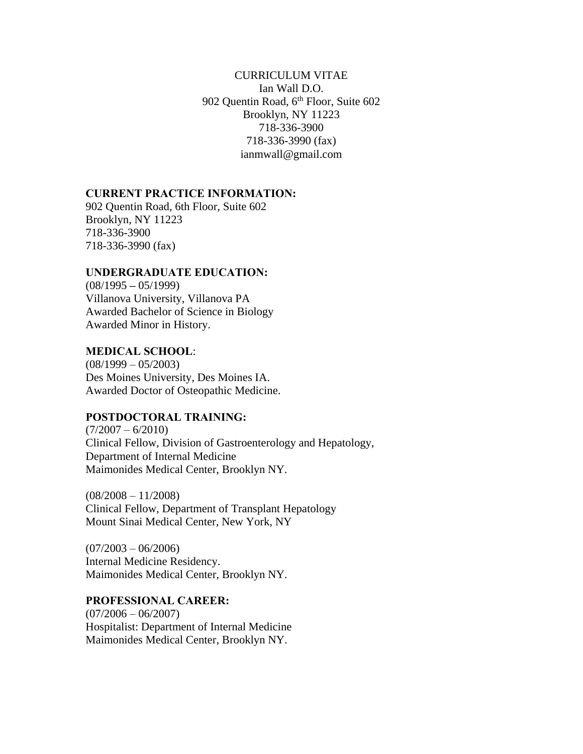### CURRICULUM VITAE Ian Wall D.O. 902 Quentin Road, 6<sup>th</sup> Floor, Suite 602 Brooklyn, NY 11223 718-336-3900 718-336-3990 (fax) ianmwall@gmail.com

#### **CURRENT PRACTICE INFORMATION:**

902 Quentin Road, 6th Floor, Suite 602 Brooklyn, NY 11223 718-336-3900 718-336-3990 (fax)

#### **UNDERGRADUATE EDUCATION:**

(08/1995 **–** 05/1999) Villanova University, Villanova PA Awarded Bachelor of Science in Biology Awarded Minor in History.

### **MEDICAL SCHOOL**:

 $(08/1999 - 05/2003)$ Des Moines University, Des Moines IA. Awarded Doctor of Osteopathic Medicine.

### **POSTDOCTORAL TRAINING:**

 $(7/2007 - 6/2010)$ Clinical Fellow, Division of Gastroenterology and Hepatology, Department of Internal Medicine Maimonides Medical Center, Brooklyn NY.

 $(08/2008 - 11/2008)$ Clinical Fellow, Department of Transplant Hepatology Mount Sinai Medical Center, New York, NY

 $(07/2003 - 06/2006)$ Internal Medicine Residency. Maimonides Medical Center, Brooklyn NY.

#### **PROFESSIONAL CAREER:**

 $(07/2006 - 06/2007)$ Hospitalist: Department of Internal Medicine Maimonides Medical Center, Brooklyn NY.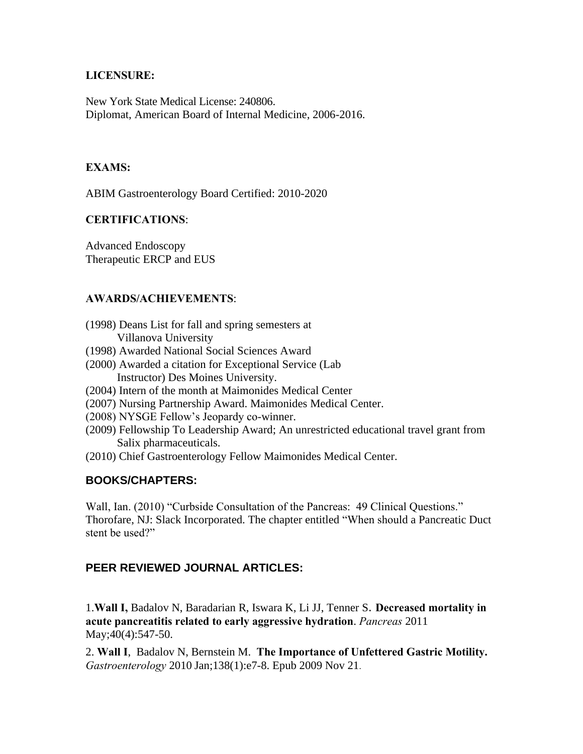### **LICENSURE:**

New York State Medical License: 240806. Diplomat, American Board of Internal Medicine, 2006-2016.

# **EXAMS:**

ABIM Gastroenterology Board Certified: 2010-2020

# **CERTIFICATIONS**:

Advanced Endoscopy Therapeutic ERCP and EUS

## **AWARDS/ACHIEVEMENTS**:

- (1998) Deans List for fall and spring semesters at Villanova University
- (1998) Awarded National Social Sciences Award
- (2000) Awarded a citation for Exceptional Service (Lab Instructor) Des Moines University.
- (2004) Intern of the month at Maimonides Medical Center
- (2007) Nursing Partnership Award. Maimonides Medical Center.
- (2008) NYSGE Fellow's Jeopardy co-winner.
- (2009) Fellowship To Leadership Award; An unrestricted educational travel grant from Salix pharmaceuticals.
- (2010) Chief Gastroenterology Fellow Maimonides Medical Center.

# **BOOKS/CHAPTERS:**

Wall, Ian. (2010) "Curbside Consultation of the Pancreas: 49 Clinical Questions." Thorofare, NJ: Slack Incorporated. The chapter entitled "When should a Pancreatic Duct stent be used?"

# **PEER REVIEWED JOURNAL ARTICLES:**

1.**Wall I,** Badalov N, Baradarian R, Iswara K, Li JJ, Tenner S. **Decreased mortality in acute pancreatitis related to early aggressive hydration**. *Pancreas* 2011 May; 40(4): 547-50.

2. **Wall I**, Badalov N, Bernstein M. **The Importance of Unfettered Gastric Motility.**  *Gastroenterology* 2010 Jan;138(1):e7-8. Epub 2009 Nov 21.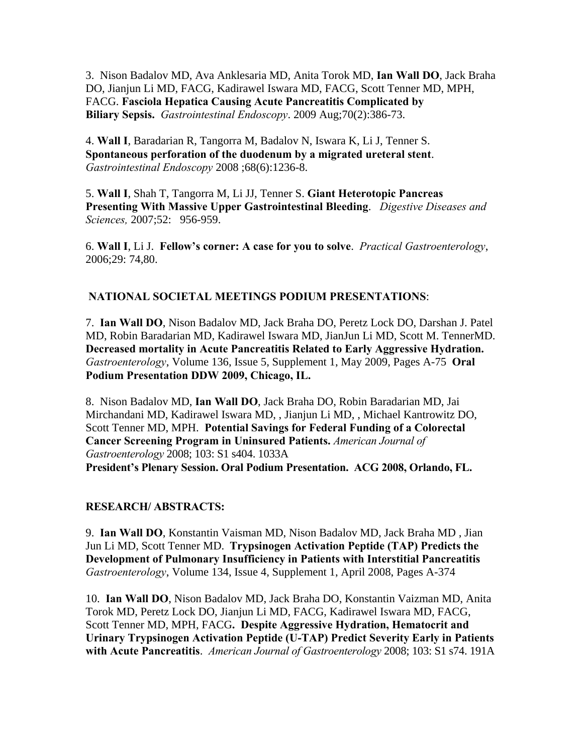3. Nison Badalov MD, Ava Anklesaria MD, Anita Torok MD, **Ian Wall DO**, Jack Braha DO, Jianjun Li MD, FACG, Kadirawel Iswara MD, FACG, Scott Tenner MD, MPH, FACG. **Fasciola Hepatica Causing Acute Pancreatitis Complicated by Biliary Sepsis.** *Gastrointestinal Endoscopy*. 2009 Aug;70(2):386-73.

4. **Wall I**, Baradarian R, Tangorra M, Badalov N, Iswara K, Li J, Tenner S. **Spontaneous perforation of the duodenum by a migrated ureteral stent**. *Gastrointestinal Endoscopy* 2008 ;68(6):1236-8.

5. **Wall I**, Shah T, Tangorra M, Li JJ, Tenner S. **Giant Heterotopic Pancreas Presenting With Massive Upper Gastrointestinal Bleeding**. *Digestive Diseases and Sciences,* 2007;52: 956-959.

6. **Wall I**, Li J. **Fellow's corner: A case for you to solve**. *Practical Gastroenterology*, 2006;29: 74,80.

## **NATIONAL SOCIETAL MEETINGS PODIUM PRESENTATIONS**:

7. **Ian Wall DO**, Nison Badalov MD, Jack Braha DO, Peretz Lock DO, Darshan J. Patel MD, Robin Baradarian MD, Kadirawel Iswara MD, JianJun Li MD, Scott M. TennerMD. **Decreased mortality in Acute Pancreatitis Related to Early Aggressive Hydration.**  *Gastroenterology*, Volume 136, Issue 5, Supplement 1, May 2009, Pages A-75 **Oral Podium Presentation DDW 2009, Chicago, IL.** 

8. Nison Badalov MD, **Ian Wall DO**, Jack Braha DO, Robin Baradarian MD, Jai Mirchandani MD, Kadirawel Iswara MD, , Jianjun Li MD, , Michael Kantrowitz DO, Scott Tenner MD, MPH. **Potential Savings for Federal Funding of a Colorectal Cancer Screening Program in Uninsured Patients.** *American Journal of Gastroenterology* 2008; 103: S1 s404. 1033A **President's Plenary Session. Oral Podium Presentation. ACG 2008, Orlando, FL.**

### **RESEARCH/ ABSTRACTS:**

9. **Ian Wall DO**, Konstantin Vaisman MD, Nison Badalov MD, Jack Braha MD , Jian Jun Li MD, Scott Tenner MD. **Trypsinogen Activation Peptide (TAP) Predicts the Development of Pulmonary Insufficiency in Patients with Interstitial Pancreatitis** *Gastroenterology*, Volume 134, Issue 4, Supplement 1, April 2008, Pages A-374

10. **Ian Wall DO**, Nison Badalov MD, Jack Braha DO, Konstantin Vaizman MD, Anita Torok MD, Peretz Lock DO, Jianjun Li MD, FACG, Kadirawel Iswara MD, FACG, Scott Tenner MD, MPH, FACG**. Despite Aggressive Hydration, Hematocrit and Urinary Trypsinogen Activation Peptide (U-TAP) Predict Severity Early in Patients with Acute Pancreatitis**. *American Journal of Gastroenterology* 2008; 103: S1 s74. 191A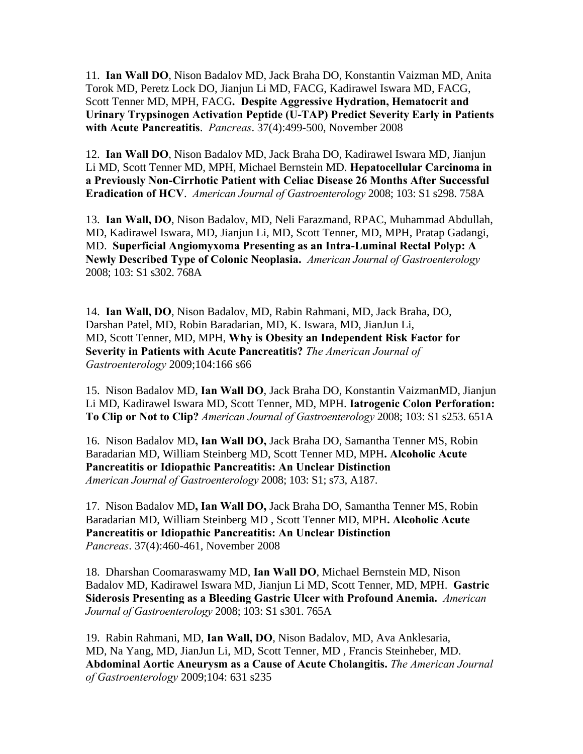11. **Ian Wall DO**, Nison Badalov MD, Jack Braha DO, Konstantin Vaizman MD, Anita Torok MD, Peretz Lock DO, Jianjun Li MD, FACG, Kadirawel Iswara MD, FACG, Scott Tenner MD, MPH, FACG**. Despite Aggressive Hydration, Hematocrit and Urinary Trypsinogen Activation Peptide (U-TAP) Predict Severity Early in Patients with Acute Pancreatitis**. *Pancreas*. 37(4):499-500, November 2008

12. **Ian Wall DO**, Nison Badalov MD, Jack Braha DO, Kadirawel Iswara MD, Jianjun Li MD, Scott Tenner MD, MPH, Michael Bernstein MD. **Hepatocellular Carcinoma in a Previously Non-Cirrhotic Patient with Celiac Disease 26 Months After Successful Eradication of HCV**. *American Journal of Gastroenterology* 2008; 103: S1 s298. 758A

13. **Ian Wall, DO**, Nison Badalov, MD, Neli Farazmand, RPAC, Muhammad Abdullah, MD, Kadirawel Iswara, MD, Jianjun Li, MD, Scott Tenner, MD, MPH, Pratap Gadangi, MD. **Superficial Angiomyxoma Presenting as an Intra-Luminal Rectal Polyp: A Newly Described Type of Colonic Neoplasia.** *American Journal of Gastroenterology* 2008; 103: S1 s302. 768A

14. **Ian Wall, DO**, Nison Badalov, MD, Rabin Rahmani, MD, Jack Braha, DO, Darshan Patel, MD, Robin Baradarian, MD, K. Iswara, MD, JianJun Li, MD, Scott Tenner, MD, MPH, **Why is Obesity an Independent Risk Factor for Severity in Patients with Acute Pancreatitis?** *The American Journal of Gastroenterology* 2009;104:166 s66

15. Nison Badalov MD, **Ian Wall DO**, Jack Braha DO, Konstantin VaizmanMD, Jianjun Li MD, Kadirawel Iswara MD, Scott Tenner, MD, MPH. **Iatrogenic Colon Perforation: To Clip or Not to Clip?** *American Journal of Gastroenterology* 2008; 103: S1 s253. 651A

16. Nison Badalov MD**, Ian Wall DO,** Jack Braha DO, Samantha Tenner MS, Robin Baradarian MD, William Steinberg MD, Scott Tenner MD, MPH**. Alcoholic Acute Pancreatitis or Idiopathic Pancreatitis: An Unclear Distinction** *American Journal of Gastroenterology* 2008; 103: S1; s73, A187.

17. Nison Badalov MD**, Ian Wall DO,** Jack Braha DO, Samantha Tenner MS, Robin Baradarian MD, William Steinberg MD , Scott Tenner MD, MPH**. Alcoholic Acute Pancreatitis or Idiopathic Pancreatitis: An Unclear Distinction** *Pancreas*. 37(4):460-461, November 2008

18. Dharshan Coomaraswamy MD, **Ian Wall DO**, Michael Bernstein MD, Nison Badalov MD, Kadirawel Iswara MD, Jianjun Li MD, Scott Tenner, MD, MPH. **Gastric Siderosis Presenting as a Bleeding Gastric Ulcer with Profound Anemia.** *American Journal of Gastroenterology* 2008; 103: S1 s301. 765A

19. Rabin Rahmani, MD, **Ian Wall, DO**, Nison Badalov, MD, Ava Anklesaria, MD, Na Yang, MD, JianJun Li, MD, Scott Tenner, MD , Francis Steinheber, MD. **Abdominal Aortic Aneurysm as a Cause of Acute Cholangitis.** *The American Journal of Gastroenterology* 2009;104: 631 s235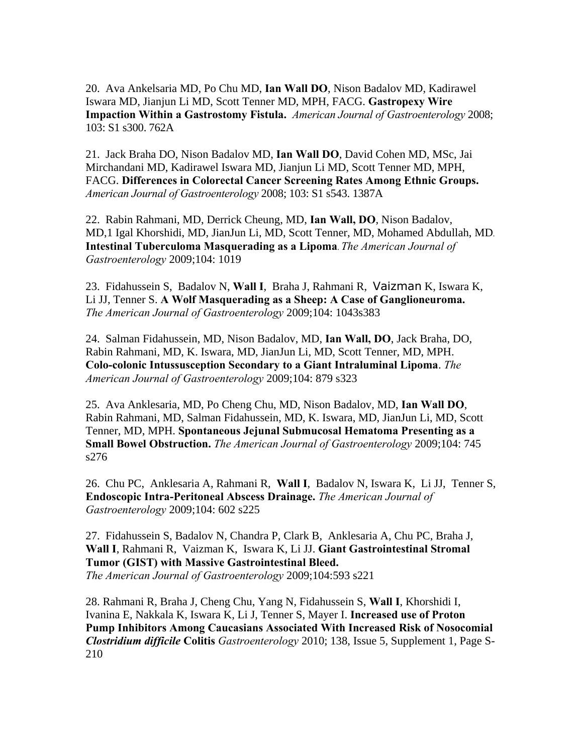20. Ava Ankelsaria MD, Po Chu MD, **Ian Wall DO**, Nison Badalov MD, Kadirawel Iswara MD, Jianjun Li MD, Scott Tenner MD, MPH, FACG. **Gastropexy Wire Impaction Within a Gastrostomy Fistula.** *American Journal of Gastroenterology* 2008; 103: S1 s300. 762A

21. Jack Braha DO, Nison Badalov MD, **Ian Wall DO**, David Cohen MD, MSc, Jai Mirchandani MD, Kadirawel Iswara MD, Jianjun Li MD, Scott Tenner MD, MPH, FACG. **Differences in Colorectal Cancer Screening Rates Among Ethnic Groups.**  *American Journal of Gastroenterology* 2008; 103: S1 s543. 1387A

22. Rabin Rahmani, MD, Derrick Cheung, MD, **Ian Wall, DO**, Nison Badalov, MD,1 Igal Khorshidi, MD, JianJun Li, MD, Scott Tenner, MD, Mohamed Abdullah, MD. **Intestinal Tuberculoma Masquerading as a Lipoma**. *The American Journal of Gastroenterology* 2009;104: 1019

23. Fidahussein S, Badalov N, **Wall I**, Braha J, Rahmani R, Vaizman K, Iswara K, Li JJ, Tenner S. **A Wolf Masquerading as a Sheep: A Case of Ganglioneuroma.** *The American Journal of Gastroenterology* 2009;104: 1043s383

24. Salman Fidahussein, MD, Nison Badalov, MD, **Ian Wall, DO**, Jack Braha, DO, Rabin Rahmani, MD, K. Iswara, MD, JianJun Li, MD, Scott Tenner, MD, MPH. **Colo-colonic Intussusception Secondary to a Giant Intraluminal Lipoma**. *The American Journal of Gastroenterology* 2009;104: 879 s323

25. Ava Anklesaria, MD, Po Cheng Chu, MD, Nison Badalov, MD, **Ian Wall DO**, Rabin Rahmani, MD, Salman Fidahussein, MD, K. Iswara, MD, JianJun Li, MD, Scott Tenner, MD, MPH. **Spontaneous Jejunal Submucosal Hematoma Presenting as a Small Bowel Obstruction.** *The American Journal of Gastroenterology* 2009;104: 745 s276

26. Chu PC, Anklesaria A, Rahmani R, **Wall I**, Badalov N, Iswara K, Li JJ, Tenner S, **Endoscopic Intra-Peritoneal Abscess Drainage.** *The American Journal of Gastroenterology* 2009;104: 602 s225

27. Fidahussein S, Badalov N, Chandra P, Clark B, Anklesaria A, Chu PC, Braha J, **Wall I**, Rahmani R, Vaizman K, Iswara K, Li JJ. **Giant Gastrointestinal Stromal Tumor (GIST) with Massive Gastrointestinal Bleed.**  *The American Journal of Gastroenterology* 2009;104:593 s221

28. Rahmani R, Braha J, Cheng Chu, Yang N, Fidahussein S, **Wall I**, Khorshidi I, Ivanina E, Nakkala K, Iswara K, Li J, Tenner S, Mayer I. **Increased use of Proton Pump Inhibitors Among Caucasians Associated With Increased Risk of Nosocomial**  *Clostridium difficile* **Colitis** *Gastroenterology* 2010; 138, Issue 5, Supplement 1, Page S-210